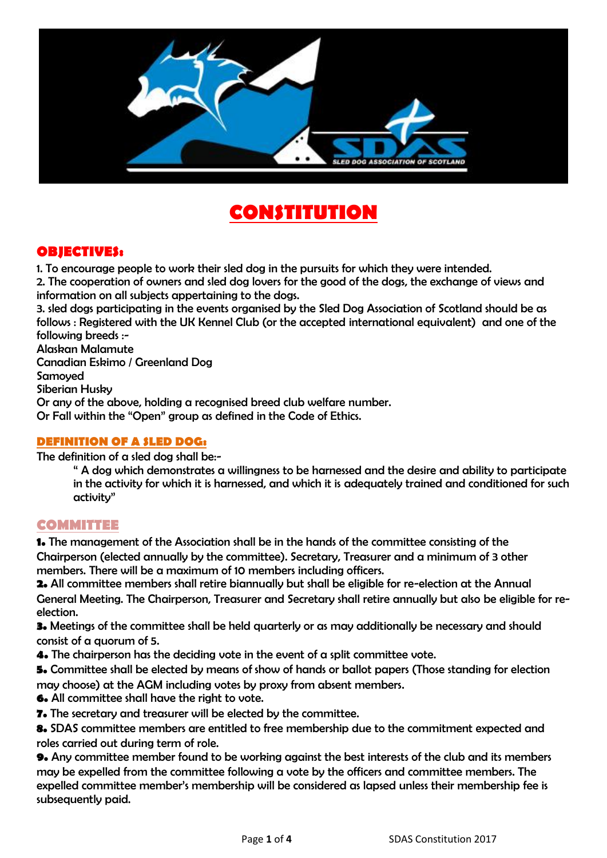

# **CONSTITUTION**

### **OBJECTIVES:**

1. To encourage people to work their sled dog in the pursuits for which they were intended.

2. The cooperation of owners and sled dog lovers for the good of the dogs, the exchange of views and information on all subjects appertaining to the dogs.

3. sled dogs participating in the events organised by the Sled Dog Association of Scotland should be as follows : Registered with the UK Kennel Club (or the accepted international equivalent) and one of the following breeds :-

Alaskan Malamute

Canadian Eskimo / Greenland Dog

Samoyed

Siberian Husky

Or any of the above, holding a recognised breed club welfare number.

Or Fall within the "Open" group as defined in the Code of Ethics.

#### **DEFINITION OF A SLED DOG:**

The definition of a sled dog shall be:-

" A dog which demonstrates a willingness to be harnessed and the desire and ability to participate in the activity for which it is harnessed, and which it is adequately trained and conditioned for such activity"

### **COMMITTEE**

**1.** The management of the Association shall be in the hands of the committee consisting of the Chairperson (elected annually by the committee). Secretary, Treasurer and a minimum of 3 other members. There will be a maximum of 10 members including officers.

**2.** All committee members shall retire biannually but shall be eligible for re-election at the Annual General Meeting. The Chairperson, Treasurer and Secretary shall retire annually but also be eligible for reelection.

**3.** Meetings of the committee shall be held quarterly or as may additionally be necessary and should consist of a quorum of 5.

**4.** The chairperson has the deciding vote in the event of a split committee vote.

**5.** Committee shall be elected by means of show of hands or ballot papers (Those standing for election may choose) at the AGM including votes by proxy from absent members.

**6.** All committee shall have the right to vote.

**7.** The secretary and treasurer will be elected by the committee.

**8.** SDAS committee members are entitled to free membership due to the commitment expected and roles carried out during term of role.

**9.** Any committee member found to be working against the best interests of the club and its members may be expelled from the committee following a vote by the officers and committee members. The expelled committee member's membership will be considered as lapsed unless their membership fee is subsequently paid.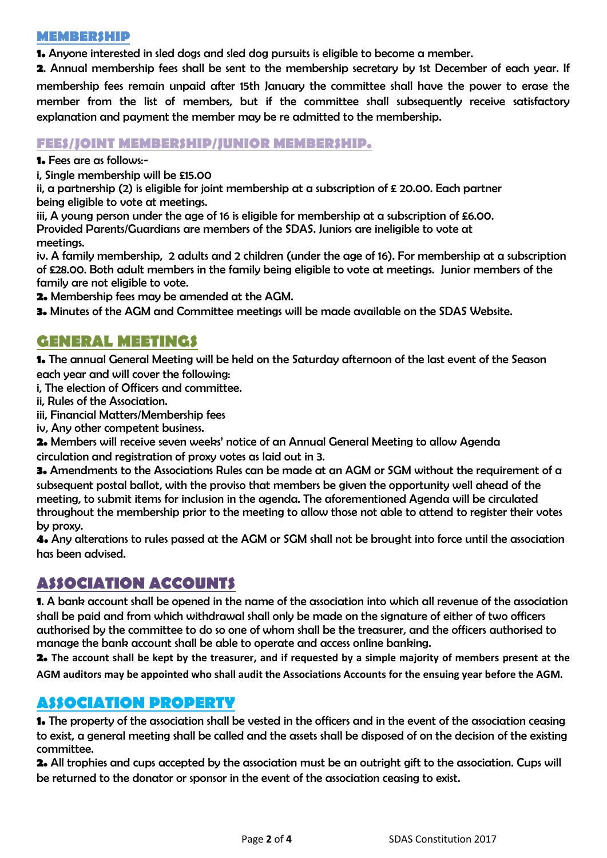#### **MEMBERSHIP**

**1.** Anyone interested in sled dogs and sled dog pursuits is eligible to become a member.

**2**. Annual membership fees shall be sent to the membership secretary by 1st December of each year. If membership fees remain unpaid after 15th January the committee shall have the power to erase the member from the list of members, but if the committee shall subsequently receive satisfactory explanation and payment the member may be re admitted to the membership.

### **FEES/JOINT MEMBERSHIP/JUNIOR MEMBERSHIP.**

**1.** Fees are as follows:-

i, Single membership will be £15.00

ii, a partnership (2) is eligible for joint membership at a subscription of  $\epsilon$  20.00. Each partner being eligible to vote at meetings.

iii, A young person under the age of 16 is eligible for membership at a subscription of £6.00. Provided Parents/Guardians are members of the SDAS. Juniors are ineligible to vote at meetings.

iv. A family membership, 2 adults and 2 children (under the age of 16). For membership at a subscription of £28.00. Both adult members in the family being eligible to vote at meetings. Junior members of the family are not eligible to vote.

**2.** Membership fees may be amended at the AGM.

**3.** Minutes of the AGM and Committee meetings will be made available on the SDAS Website.

### **GENERAL MEETINGS**

**1.** The annual General Meeting will be held on the Saturday afternoon of the last event of the Season each year and will cover the following:

i, The election of Officers and committee.

- ii, Rules of the Association.
- iii, Financial Matters/Membership fees
- iv, Any other competent business.

**2.** Members will receive seven weeks' notice of an Annual General Meeting to allow Agenda circulation and registration of proxy votes as laid out in 3.

**3.** Amendments to the Associations Rules can be made at an AGM or SGM without the requirement of a subsequent postal ballot, with the proviso that members be given the opportunity well ahead of the meeting, to submit items for inclusion in the agenda. The aforementioned Agenda will be circulated throughout the membership prior to the meeting to allow those not able to attend to register their votes by proxy.

**4.** Any alterations to rules passed at the AGM or SGM shall not be brought into force until the association has been advised.

# **ASSOCIATION ACCOUNTS**

**1**. A bank account shall be opened in the name of the association into which all revenue of the association shall be paid and from which withdrawal shall only be made on the signature of either of two officers authorised by the committee to do so one of whom shall be the treasurer, and the officers authorised to manage the bank account shall be able to operate and access online banking.

**2. The account shall be kept by the treasurer, and if requested by a simple majority of members present at the AGM auditors may be appointed who shall audit the Associations Accounts for the ensuing year before the AGM.**

### **ASSOCIATION PROPERTY**

**1.** The property of the association shall be vested in the officers and in the event of the association ceasing to exist, a general meeting shall be called and the assets shall be disposed of on the decision of the existing committee.

**2.** All trophies and cups accepted by the association must be an outright gift to the association. Cups will be returned to the donator or sponsor in the event of the association ceasing to exist.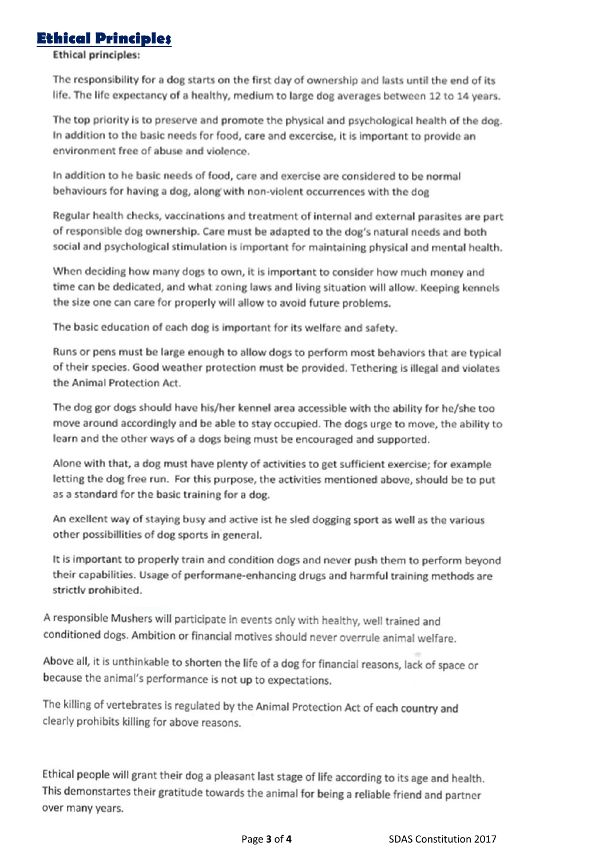### **Ethical Principles**

**Ethical principles:** 

The responsibility for a dog starts on the first day of ownership and lasts until the end of its life. The life expectancy of a healthy, medium to large dog averages between 12 to 14 years.

The top priority is to preserve and promote the physical and psychological health of the dog. In addition to the basic needs for food, care and excercise, it is important to provide an environment free of abuse and violence.

In addition to he basic needs of food, care and exercise are considered to be normal behaviours for having a dog, along with non-violent occurrences with the dog

Regular health checks, vaccinations and treatment of internal and external parasites are part of responsible dog ownership. Care must be adapted to the dog's natural needs and both social and psychological stimulation is important for maintaining physical and mental health.

When deciding how many dogs to own, it is important to consider how much money and time can be dedicated, and what zoning laws and living situation will allow. Keeping kennels the size one can care for properly will allow to avoid future problems.

The basic education of each dog is important for its welfare and safety.

Runs or pens must be large enough to allow dogs to perform most behaviors that are typical of their species. Good weather protection must be provided. Tethering is illegal and violates the Animal Protection Act.

The dog gor dogs should have his/her kennel area accessible with the ability for he/she too move around accordingly and be able to stay occupied. The dogs urge to move, the ability to learn and the other ways of a dogs being must be encouraged and supported.

Alone with that, a dog must have plenty of activities to get sufficient exercise; for example letting the dog free run. For this purpose, the activities mentioned above, should be to put as a standard for the basic training for a dog.

An exellent way of staying busy and active ist he sled dogging sport as well as the various other possibillities of dog sports in general.

It is important to properly train and condition dogs and never push them to perform beyond their capabilities. Usage of performane-enhancing drugs and harmful training methods are strictly prohibited.

A responsible Mushers will participate in events only with healthy, well trained and conditioned dogs. Ambition or financial motives should never overrule animal welfare.

Above all, it is unthinkable to shorten the life of a dog for financial reasons, lack of space or because the animal's performance is not up to expectations.

The killing of vertebrates is regulated by the Animal Protection Act of each country and clearly prohibits killing for above reasons.

Ethical people will grant their dog a pleasant last stage of life according to its age and health. This demonstartes their gratitude towards the animal for being a reliable friend and partner over many years.